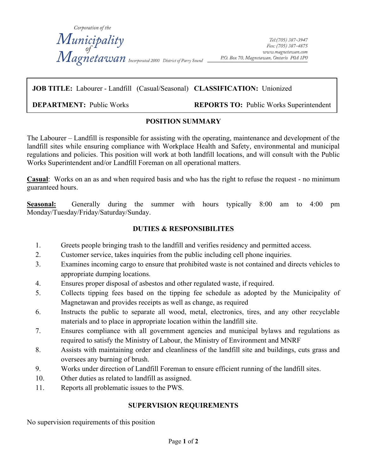

#### **JOB TITLE:** Labourer - Landfill (Casual/Seasonal) **CLASSIFICATION:** Unionized

 $\overline{a}$ 

**DEPARTMENT:** Public Works **REPORTS TO:** Public Works Superintendent

#### **POSITION SUMMARY**

The Labourer – Landfill is responsible for assisting with the operating, maintenance and development of the landfill sites while ensuring compliance with Workplace Health and Safety, environmental and municipal regulations and policies. This position will work at both landfill locations, and will consult with the Public Works Superintendent and/or Landfill Foreman on all operational matters.

**Casual**: Works on an as and when required basis and who has the right to refuse the request - no minimum guaranteed hours.

**Seasonal:** Generally during the summer with hours typically 8:00 am to 4:00 pm Monday/Tuesday/Friday/Saturday/Sunday.

## **DUTIES & RESPONSIBILITES**

- 1. Greets people bringing trash to the landfill and verifies residency and permitted access.
- 2. Customer service, takes inquiries from the public including cell phone inquiries.
- 3. Examines incoming cargo to ensure that prohibited waste is not contained and directs vehicles to appropriate dumping locations.
- 4. Ensures proper disposal of asbestos and other regulated waste, if required.
- 5. Collects tipping fees based on the tipping fee schedule as adopted by the Municipality of Magnetawan and provides receipts as well as change, as required
- 6. Instructs the public to separate all wood, metal, electronics, tires, and any other recyclable materials and to place in appropriate location within the landfill site.
- 7. Ensures compliance with all government agencies and municipal bylaws and regulations as required to satisfy the Ministry of Labour, the Ministry of Environment and MNRF
- 8. Assists with maintaining order and cleanliness of the landfill site and buildings, cuts grass and oversees any burning of brush.
- 9. Works under direction of Landfill Foreman to ensure efficient running of the landfill sites.
- 10. Other duties as related to landfill as assigned.
- 11. Reports all problematic issues to the PWS.

## **SUPERVISION REQUIREMENTS**

No supervision requirements of this position